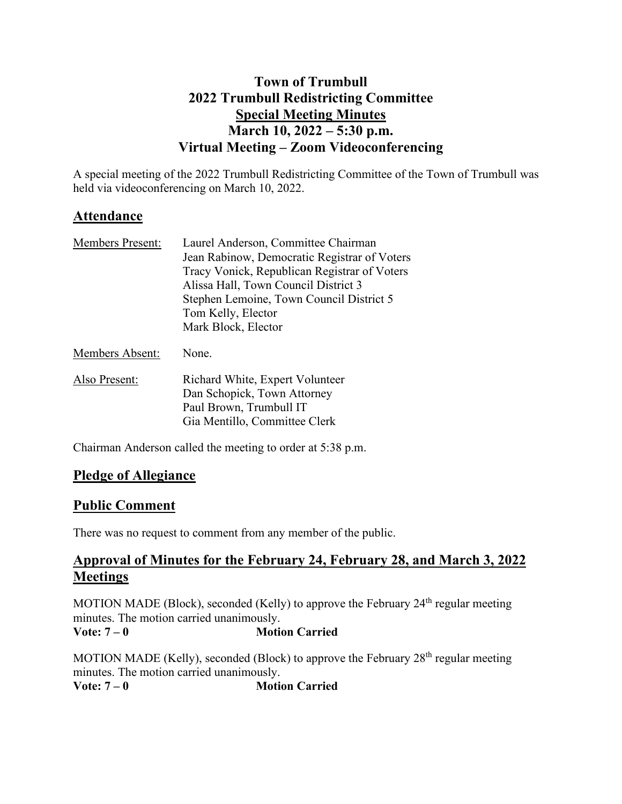# **Town of Trumbull 2022 Trumbull Redistricting Committee Special Meeting Minutes March 10, 2022 – 5:30 p.m. Virtual Meeting – Zoom Videoconferencing**

A special meeting of the 2022 Trumbull Redistricting Committee of the Town of Trumbull was held via videoconferencing on March 10, 2022.

### **Attendance**

| Jean Rabinow, Democratic Registrar of Voters |
|----------------------------------------------|
| Tracy Vonick, Republican Registrar of Voters |
|                                              |
| Stephen Lemoine, Town Council District 5     |
|                                              |
|                                              |
|                                              |

Members Absent: None.

Also Present: Richard White, Expert Volunteer Dan Schopick, Town Attorney Paul Brown, Trumbull IT Gia Mentillo, Committee Clerk

Chairman Anderson called the meeting to order at 5:38 p.m.

# **Pledge of Allegiance**

### **Public Comment**

There was no request to comment from any member of the public.

### **Approval of Minutes for the February 24, February 28, and March 3, 2022 Meetings**

MOTION MADE (Block), seconded (Kelly) to approve the February  $24<sup>th</sup>$  regular meeting minutes. The motion carried unanimously. **Vote: 7 – 0 Motion Carried**

MOTION MADE (Kelly), seconded (Block) to approve the February  $28<sup>th</sup>$  regular meeting minutes. The motion carried unanimously. **Vote: 7 – 0 Motion Carried**